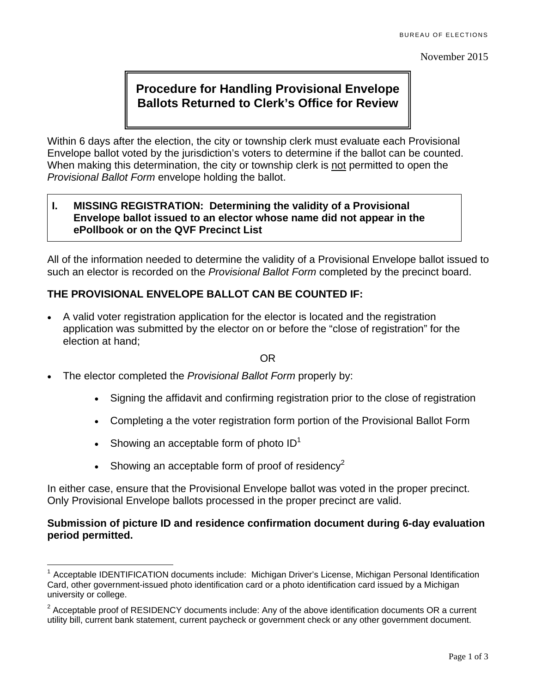November 2015

# **Procedure for Handling Provisional Envelope Ballots Returned to Clerk's Office for Review**

Within 6 days after the election, the city or township clerk must evaluate each Provisional Envelope ballot voted by the jurisdiction's voters to determine if the ballot can be counted. When making this determination, the city or township clerk is not permitted to open the *Provisional Ballot Form* envelope holding the ballot.

## **I. MISSING REGISTRATION: Determining the validity of a Provisional Envelope ballot issued to an elector whose name did not appear in the ePollbook or on the QVF Precinct List**

All of the information needed to determine the validity of a Provisional Envelope ballot issued to such an elector is recorded on the *Provisional Ballot Form* completed by the precinct board.

## **THE PROVISIONAL ENVELOPE BALLOT CAN BE COUNTED IF:**

 A valid voter registration application for the elector is located and the registration application was submitted by the elector on or before the "close of registration" for the election at hand;

#### OR

- The elector completed the *Provisional Ballot Form* properly by:
	- Signing the affidavit and confirming registration prior to the close of registration
	- Completing a the voter registration form portion of the Provisional Ballot Form
	- Showing an acceptable form of photo  $ID<sup>1</sup>$
	- $\bullet$  Showing an acceptable form of proof of residency<sup>2</sup>

In either case, ensure that the Provisional Envelope ballot was voted in the proper precinct. Only Provisional Envelope ballots processed in the proper precinct are valid.

## **Submission of picture ID and residence confirmation document during 6-day evaluation period permitted.**

 $\overline{a}$ <sup>1</sup> Acceptable IDENTIFICATION documents include: Michigan Driver's License, Michigan Personal Identification Card, other government-issued photo identification card or a photo identification card issued by a Michigan university or college.

<sup>&</sup>lt;sup>2</sup> Acceptable proof of RESIDENCY documents include: Any of the above identification documents OR a current utility bill, current bank statement, current paycheck or government check or any other government document.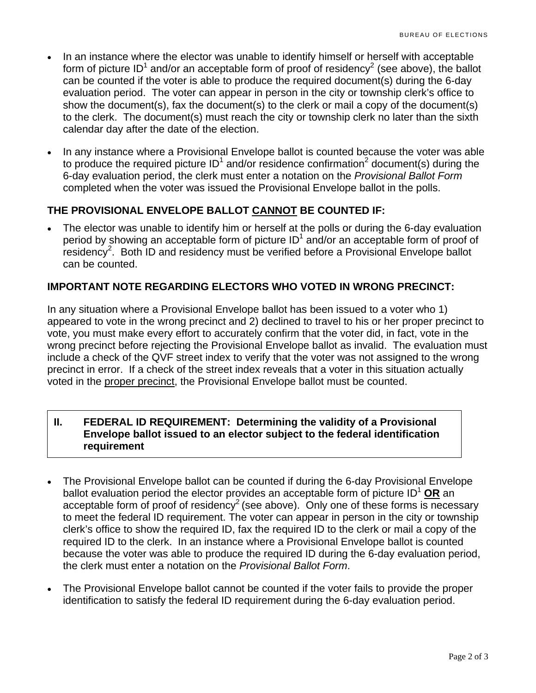- In an instance where the elector was unable to identify himself or herself with acceptable form of picture ID<sup>1</sup> and/or an acceptable form of proof of residency<sup>2</sup> (see above), the ballot can be counted if the voter is able to produce the required document(s) during the 6-day evaluation period. The voter can appear in person in the city or township clerk's office to show the document(s), fax the document(s) to the clerk or mail a copy of the document(s) to the clerk. The document(s) must reach the city or township clerk no later than the sixth calendar day after the date of the election.
- In any instance where a Provisional Envelope ballot is counted because the voter was able to produce the required picture ID<sup>1</sup> and/or residence confirmation<sup>2</sup> document(s) during the 6-day evaluation period, the clerk must enter a notation on the *Provisional Ballot Form* completed when the voter was issued the Provisional Envelope ballot in the polls.

## **THE PROVISIONAL ENVELOPE BALLOT CANNOT BE COUNTED IF:**

 The elector was unable to identify him or herself at the polls or during the 6-day evaluation period by showing an acceptable form of picture  $ID<sup>1</sup>$  and/or an acceptable form of proof of  $r$ esidency<sup>2</sup>. Both ID and residency must be verified before a Provisional Envelope ballot can be counted.

## **IMPORTANT NOTE REGARDING ELECTORS WHO VOTED IN WRONG PRECINCT:**

In any situation where a Provisional Envelope ballot has been issued to a voter who 1) appeared to vote in the wrong precinct and 2) declined to travel to his or her proper precinct to vote, you must make every effort to accurately confirm that the voter did, in fact, vote in the wrong precinct before rejecting the Provisional Envelope ballot as invalid. The evaluation must include a check of the QVF street index to verify that the voter was not assigned to the wrong precinct in error. If a check of the street index reveals that a voter in this situation actually voted in the proper precinct, the Provisional Envelope ballot must be counted.

#### **II. FEDERAL ID REQUIREMENT: Determining the validity of a Provisional Envelope ballot issued to an elector subject to the federal identification requirement**

- The Provisional Envelope ballot can be counted if during the 6-day Provisional Envelope ballot evaluation period the elector provides an acceptable form of picture ID<sup>1</sup> OR an acceptable form of proof of residency<sup>2</sup> (see above). Only one of these forms is necessary to meet the federal ID requirement. The voter can appear in person in the city or township clerk's office to show the required ID, fax the required ID to the clerk or mail a copy of the required ID to the clerk. In an instance where a Provisional Envelope ballot is counted because the voter was able to produce the required ID during the 6-day evaluation period, the clerk must enter a notation on the *Provisional Ballot Form*.
- The Provisional Envelope ballot cannot be counted if the voter fails to provide the proper identification to satisfy the federal ID requirement during the 6-day evaluation period.